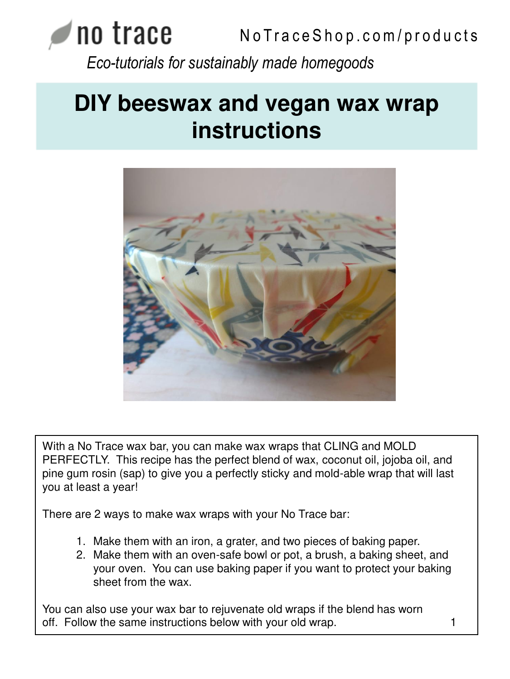# **NO TEACE** NoTraceShop.com/products *Eco-tutorials for sustainably made homegoods*

# **DIY beeswax and vegan wax wrap instructions**



With a No Trace wax bar, you can make wax wraps that CLING and MOLD PERFECTLY. This recipe has the perfect blend of wax, coconut oil, jojoba oil, and pine gum rosin (sap) to give you a perfectly sticky and mold-able wrap that will last you at least a year!

There are 2 ways to make wax wraps with your No Trace bar:

- 1. Make them with an iron, a grater, and two pieces of baking paper.
- 2. Make them with an oven-safe bowl or pot, a brush, a baking sheet, and your oven. You can use baking paper if you want to protect your baking sheet from the wax.

You can also use your wax bar to rejuvenate old wraps if the blend has worn off. Follow the same instructions below with your old wrap. The match of the same instructions below with your old wrap.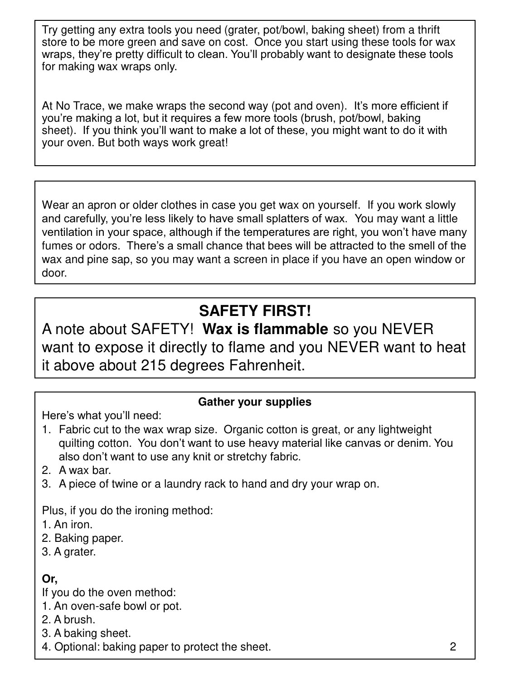Try getting any extra tools you need (grater, pot/bowl, baking sheet) from a thrift store to be more green and save on cost. Once you start using these tools for wax wraps, they're pretty difficult to clean. You'll probably want to designate these tools for making wax wraps only.

At No Trace, we make wraps the second way (pot and oven). It's more efficient if you're making a lot, but it requires a few more tools (brush, pot/bowl, baking sheet). If you think you'll want to make a lot of these, you might want to do it with your oven. But both ways work great!

Wear an apron or older clothes in case you get wax on yourself. If you work slowly and carefully, you're less likely to have small splatters of wax. You may want a little ventilation in your space, although if the temperatures are right, you won't have many fumes or odors. There's a small chance that bees will be attracted to the smell of the wax and pine sap, so you may want a screen in place if you have an open window or door.

## **SAFETY FIRST!**

A note about SAFETY! **Wax is flammable** so you NEVER want to expose it directly to flame and you NEVER want to heat it above about 215 degrees Fahrenheit.

#### **Gather your supplies**

Here's what you'll need:

- 1. Fabric cut to the wax wrap size. Organic cotton is great, or any lightweight quilting cotton. You don't want to use heavy material like canvas or denim. You also don't want to use any knit or stretchy fabric.
- 2. A wax bar.
- 3. A piece of twine or a laundry rack to hand and dry your wrap on.

Plus, if you do the ironing method:

- 1. An iron.
- 2. Baking paper.
- 3. A grater.

### **Or,**

If you do the oven method:

- 1. An oven-safe bowl or pot.
- 2. A brush.
- 3. A baking sheet.
- 4. Optional: baking paper to protect the sheet. 2